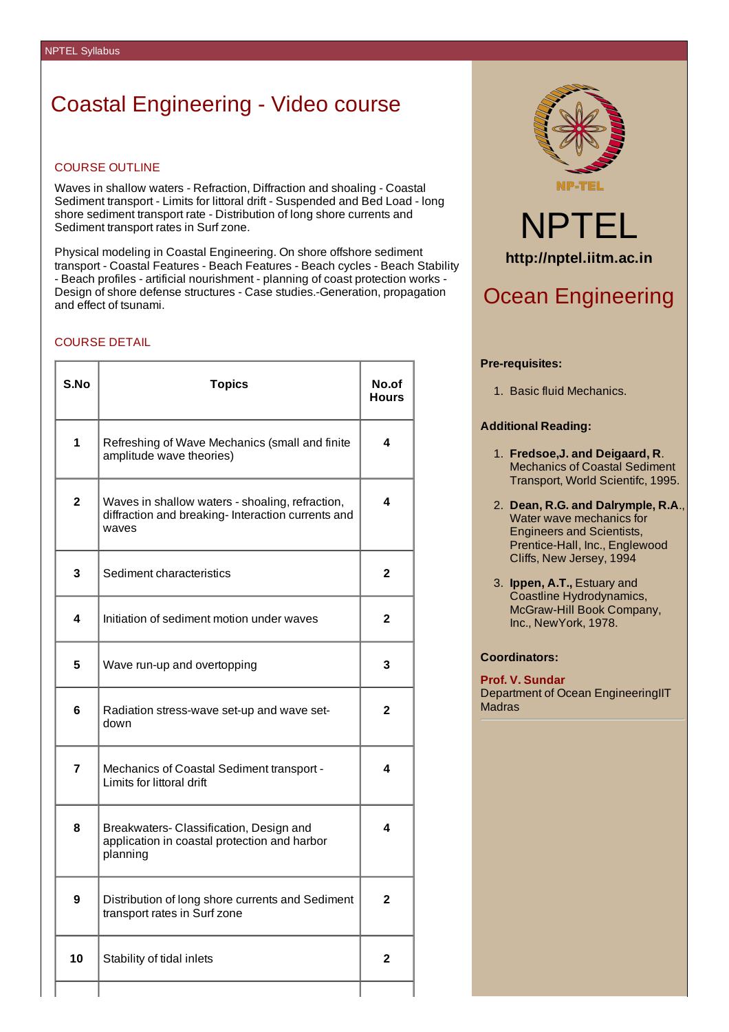## Coastal Engineering - Video course

### COURSE OUTLINE

Waves in shallow waters - Refraction, Diffraction and shoaling - Coastal Sediment transport - Limits for littoral drift - Suspended and Bed Load - long shore sediment transport rate - Distribution of long shore currents and Sediment transport rates in Surf zone.

Physical modeling in Coastal Engineering. On shore offshore sediment transport - Coastal Features - Beach Features - Beach cycles - Beach Stability - Beach profiles - artificial nourishment - planning of coast protection works - Design of shore defense structures - Case studies.-Generation, propagation and effect of tsunami.

### COURSE DETAIL

| S.No           | <b>Topics</b>                                                                                                  | No.of<br><b>Hours</b> |
|----------------|----------------------------------------------------------------------------------------------------------------|-----------------------|
| $\mathbf 1$    | Refreshing of Wave Mechanics (small and finite<br>amplitude wave theories)                                     | 4                     |
| $\overline{2}$ | Waves in shallow waters - shoaling, refraction,<br>diffraction and breaking- Interaction currents and<br>waves | 4                     |
| 3              | Sediment characteristics                                                                                       | $\mathbf{2}$          |
| 4              | Initiation of sediment motion under waves                                                                      | 2                     |
| 5              | Wave run-up and overtopping                                                                                    | 3                     |
| 6              | Radiation stress-wave set-up and wave set-<br>down                                                             | 2                     |
| 7              | Mechanics of Coastal Sediment transport -<br>Limits for littoral drift                                         | 4                     |
| 8              | Breakwaters- Classification, Design and<br>application in coastal protection and harbor<br>planning            | 4                     |
| 9              | Distribution of long shore currents and Sediment<br>transport rates in Surf zone                               | 2                     |
| 10             | Stability of tidal inlets                                                                                      | 2                     |
|                |                                                                                                                |                       |



# NPTEL **http://nptel.iitm.ac.in**

### Ocean Engineering

### **Pre-requisites:**

1. Basic fluid Mechanics.

### **Additional Reading:**

- 1. **Fredsoe,J. and Deigaard, R**. Mechanics of Coastal Sediment Transport, World Scientifc, 1995.
- 2. **Dean, R.G. and Dalrymple, R.A**., Water wave mechanics for Engineers and Scientists, Prentice-Hall, Inc., Englewood Cliffs, New Jersey, 1994
- 3. **Ippen, A.T.,** Estuary and Coastline Hydrodynamics, McGraw-Hill Book Company, Inc., NewYork, 1978.

### **Coordinators:**

**Prof. V. Sundar** Department of Ocean EngineeringIIT Madras